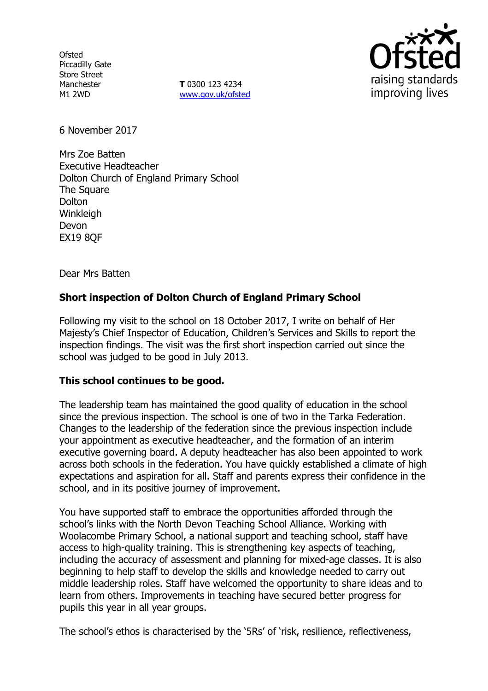**Ofsted** Piccadilly Gate Store Street Manchester M1 2WD

**T** 0300 123 4234 www.gov.uk/ofsted



6 November 2017

Mrs Zoe Batten Executive Headteacher Dolton Church of England Primary School The Square **Dolton Winkleigh** Devon EX19 8QF

Dear Mrs Batten

# **Short inspection of Dolton Church of England Primary School**

Following my visit to the school on 18 October 2017, I write on behalf of Her Majesty's Chief Inspector of Education, Children's Services and Skills to report the inspection findings. The visit was the first short inspection carried out since the school was judged to be good in July 2013.

## **This school continues to be good.**

The leadership team has maintained the good quality of education in the school since the previous inspection. The school is one of two in the Tarka Federation. Changes to the leadership of the federation since the previous inspection include your appointment as executive headteacher, and the formation of an interim executive governing board. A deputy headteacher has also been appointed to work across both schools in the federation. You have quickly established a climate of high expectations and aspiration for all. Staff and parents express their confidence in the school, and in its positive journey of improvement.

You have supported staff to embrace the opportunities afforded through the school's links with the North Devon Teaching School Alliance. Working with Woolacombe Primary School, a national support and teaching school, staff have access to high-quality training. This is strengthening key aspects of teaching, including the accuracy of assessment and planning for mixed-age classes. It is also beginning to help staff to develop the skills and knowledge needed to carry out middle leadership roles. Staff have welcomed the opportunity to share ideas and to learn from others. Improvements in teaching have secured better progress for pupils this year in all year groups.

The school's ethos is characterised by the '5Rs' of 'risk, resilience, reflectiveness,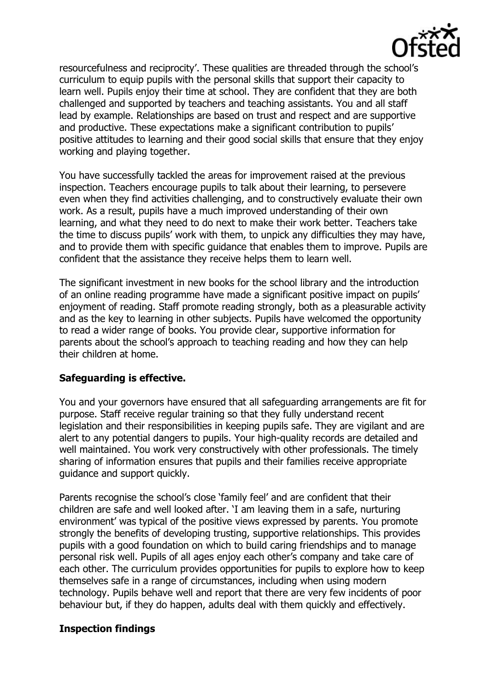

resourcefulness and reciprocity'. These qualities are threaded through the school's curriculum to equip pupils with the personal skills that support their capacity to learn well. Pupils enjoy their time at school. They are confident that they are both challenged and supported by teachers and teaching assistants. You and all staff lead by example. Relationships are based on trust and respect and are supportive and productive. These expectations make a significant contribution to pupils' positive attitudes to learning and their good social skills that ensure that they enjoy working and playing together.

You have successfully tackled the areas for improvement raised at the previous inspection. Teachers encourage pupils to talk about their learning, to persevere even when they find activities challenging, and to constructively evaluate their own work. As a result, pupils have a much improved understanding of their own learning, and what they need to do next to make their work better. Teachers take the time to discuss pupils' work with them, to unpick any difficulties they may have, and to provide them with specific guidance that enables them to improve. Pupils are confident that the assistance they receive helps them to learn well.

The significant investment in new books for the school library and the introduction of an online reading programme have made a significant positive impact on pupils' enjoyment of reading. Staff promote reading strongly, both as a pleasurable activity and as the key to learning in other subjects. Pupils have welcomed the opportunity to read a wider range of books. You provide clear, supportive information for parents about the school's approach to teaching reading and how they can help their children at home.

# **Safeguarding is effective.**

You and your governors have ensured that all safeguarding arrangements are fit for purpose. Staff receive regular training so that they fully understand recent legislation and their responsibilities in keeping pupils safe. They are vigilant and are alert to any potential dangers to pupils. Your high-quality records are detailed and well maintained. You work very constructively with other professionals. The timely sharing of information ensures that pupils and their families receive appropriate guidance and support quickly.

Parents recognise the school's close 'family feel' and are confident that their children are safe and well looked after. 'I am leaving them in a safe, nurturing environment' was typical of the positive views expressed by parents. You promote strongly the benefits of developing trusting, supportive relationships. This provides pupils with a good foundation on which to build caring friendships and to manage personal risk well. Pupils of all ages enjoy each other's company and take care of each other. The curriculum provides opportunities for pupils to explore how to keep themselves safe in a range of circumstances, including when using modern technology. Pupils behave well and report that there are very few incidents of poor behaviour but, if they do happen, adults deal with them quickly and effectively.

# **Inspection findings**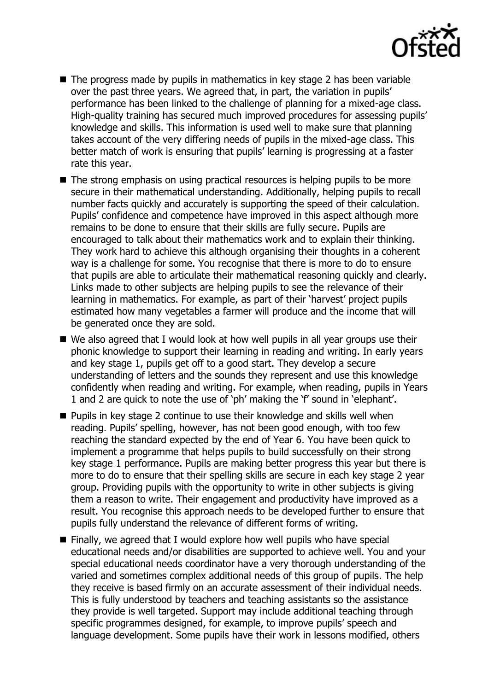

- $\blacksquare$  The progress made by pupils in mathematics in key stage 2 has been variable over the past three years. We agreed that, in part, the variation in pupils' performance has been linked to the challenge of planning for a mixed-age class. High-quality training has secured much improved procedures for assessing pupils' knowledge and skills. This information is used well to make sure that planning takes account of the very differing needs of pupils in the mixed-age class. This better match of work is ensuring that pupils' learning is progressing at a faster rate this year.
- The strong emphasis on using practical resources is helping pupils to be more secure in their mathematical understanding. Additionally, helping pupils to recall number facts quickly and accurately is supporting the speed of their calculation. Pupils' confidence and competence have improved in this aspect although more remains to be done to ensure that their skills are fully secure. Pupils are encouraged to talk about their mathematics work and to explain their thinking. They work hard to achieve this although organising their thoughts in a coherent way is a challenge for some. You recognise that there is more to do to ensure that pupils are able to articulate their mathematical reasoning quickly and clearly. Links made to other subjects are helping pupils to see the relevance of their learning in mathematics. For example, as part of their 'harvest' project pupils estimated how many vegetables a farmer will produce and the income that will be generated once they are sold.
- We also agreed that I would look at how well pupils in all year groups use their phonic knowledge to support their learning in reading and writing. In early years and key stage 1, pupils get off to a good start. They develop a secure understanding of letters and the sounds they represent and use this knowledge confidently when reading and writing. For example, when reading, pupils in Years 1 and 2 are quick to note the use of 'ph' making the 'f' sound in 'elephant'.
- **Pupils in key stage 2 continue to use their knowledge and skills well when** reading. Pupils' spelling, however, has not been good enough, with too few reaching the standard expected by the end of Year 6. You have been quick to implement a programme that helps pupils to build successfully on their strong key stage 1 performance. Pupils are making better progress this year but there is more to do to ensure that their spelling skills are secure in each key stage 2 year group. Providing pupils with the opportunity to write in other subjects is giving them a reason to write. Their engagement and productivity have improved as a result. You recognise this approach needs to be developed further to ensure that pupils fully understand the relevance of different forms of writing.
- Finally, we agreed that I would explore how well pupils who have special educational needs and/or disabilities are supported to achieve well. You and your special educational needs coordinator have a very thorough understanding of the varied and sometimes complex additional needs of this group of pupils. The help they receive is based firmly on an accurate assessment of their individual needs. This is fully understood by teachers and teaching assistants so the assistance they provide is well targeted. Support may include additional teaching through specific programmes designed, for example, to improve pupils' speech and language development. Some pupils have their work in lessons modified, others